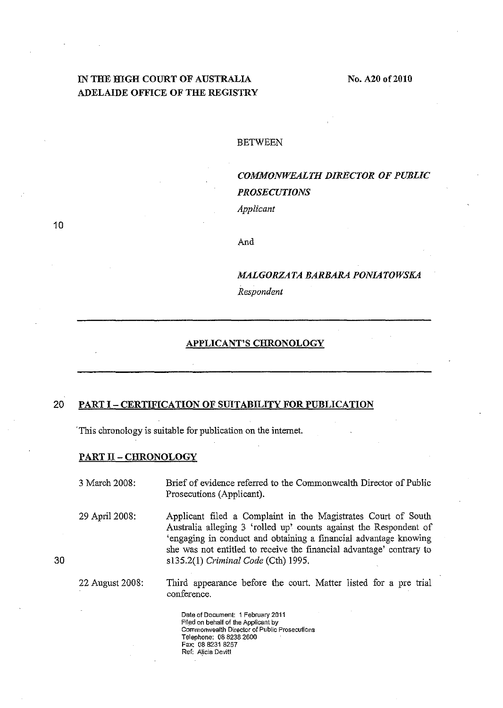# **IN THE HIGH COURT OF AUSTRALIA ADELAIDE OFFICE OF THE REGISTRY**

#### BETWEEN

# *COMMONWEALTH DIRECTOR OF PUBLIC PROSECUTIONS Applicant*

10

*MALGORZATA BARBARA PONIATOWSKA Respondent* 

### **APPLICANT'S CHRONOLOGY**

And

## **20 PART I - CERTIFICATION OF SIDTABILITY FOR PUBLICATION**

'This chronology is suitable for publication on the internet.

#### **PART II - CHRONOLOGY**

3 March 2008: Brief of evidence referred to the Commonwealth Director of Public Prosecutions (Applicant).

29 April 2008: Applicant filed a Complaint in the Magistrates Court of South Australia alleging 3 'rolled up' counts against the Respondent of 'engaging in conduct and obtaining a financial advautage knowing she was not entitled to receive the fmancial advantage' contrary to s135.2(1) *Criminal Code* (Cth) 1995.

22 August 2008: Third appearance before the court. Matter listed for a pre trial conference.

> **Date of Document: 1 February 2011 Filed on behalf of the Applicant by Commonwealth Director of Public Prosecutions**  Telephone; 0882382600 Fax; 088231 8257 **Ref: A!icia Devitt**

30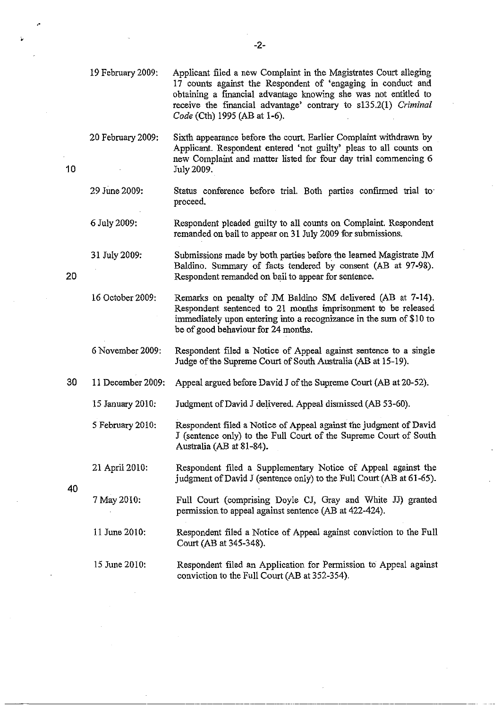|    | 19 February 2009: | Applicant filed a new Complaint in the Magistrates Court alleging<br>17 counts against the Respondent of 'engaging in conduct and<br>obtaining a financial advantage knowing she was not entitled to<br>receive the financial advantage' contrary to s135.2(1) Criminal<br>Code (Cth) 1995 (AB at 1-6). |
|----|-------------------|---------------------------------------------------------------------------------------------------------------------------------------------------------------------------------------------------------------------------------------------------------------------------------------------------------|
| 10 | 20 February 2009: | Sixth appearance before the court. Earlier Complaint withdrawn by<br>Applicant. Respondent entered 'not guilty' pleas to all counts on<br>new Complaint and matter listed for four day trial commencing 6<br>July 2009.                                                                                 |
|    | 29 June 2009:     | Status conference before trial. Both parties confirmed trial to<br>proceed.                                                                                                                                                                                                                             |
| 20 | 6 July 2009:      | Respondent pleaded guilty to all counts on Complaint. Respondent<br>remanded on bail to appear on 31 July 2009 for submissions.                                                                                                                                                                         |
|    | 31 July 2009:     | Submissions made by both parties before the learned Magistrate JM<br>Baldino. Summary of facts tendered by consent (AB at 97-98).<br>Respondent remanded on bail to appear for sentence.                                                                                                                |
|    | 16 October 2009:  | Remarks on penalty of JM Baldino SM delivered (AB at 7-14).<br>Respondent sentenced to 21 months imprisonment to be released<br>immediately upon entering into a recognizance in the sum of \$10 to<br>be of good behaviour for 24 months.                                                              |
|    | 6 November 2009:  | Respondent filed a Notice of Appeal against sentence to a single<br>Judge of the Supreme Court of South Australia (AB at 15-19).                                                                                                                                                                        |
| 30 | 11 December 2009: | Appeal argued before David J of the Supreme Court (AB at 20-52).                                                                                                                                                                                                                                        |
|    | 15 January 2010:  | Judgment of David J delivered. Appeal dismissed (AB 53-60).                                                                                                                                                                                                                                             |
| 40 | 5 February 2010:  | Respondent filed a Notice of Appeal against the judgment of David<br>J (sentence only) to the Full Court of the Supreme Court of South<br>Australia (AB at 81-84).                                                                                                                                      |
|    | 21 April 2010:    | Respondent filed a Supplementary Notice of Appeal against the<br>judgment of David J (sentence only) to the Full Court (AB at 61-65).                                                                                                                                                                   |
|    | 7 May 2010:       | Full Court (comprising Doyle CJ, Gray and White JJ) granted<br>permission to appeal against sentence (AB at 422-424).                                                                                                                                                                                   |
|    | 11 June 2010:     | Respondent filed a Notice of Appeal against conviction to the Full<br>Court (AB at 345-348).                                                                                                                                                                                                            |
|    | 15 June 2010:     | Respondent filed an Application for Permission to Appeal against<br>conviction to the Full Court (AB at 352-354).                                                                                                                                                                                       |

-2-